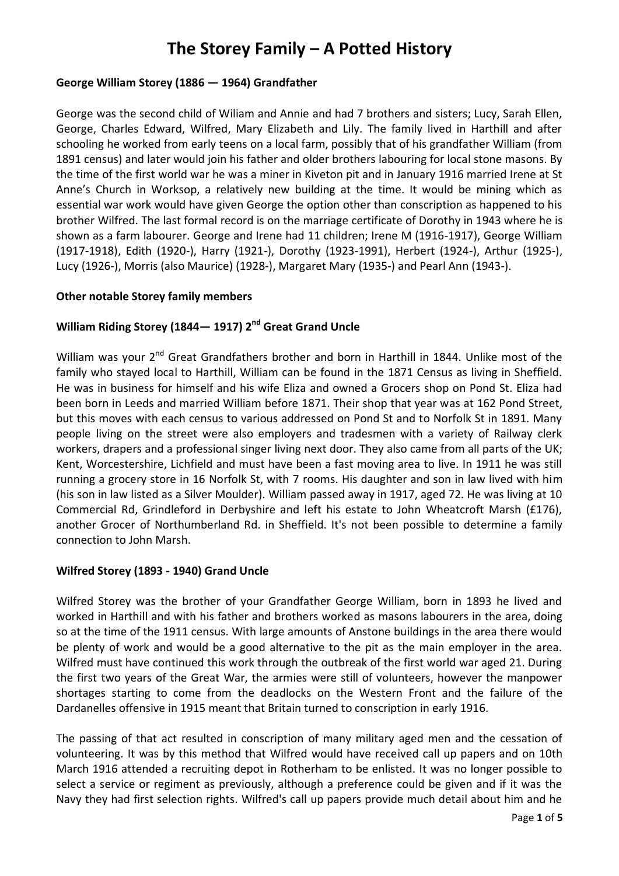# **The Storey Family – A Potted History**

# **George William Storey (1886 — 1964) Grandfather**

George was the second child of Wiliam and Annie and had 7 brothers and sisters; Lucy, Sarah Ellen, George, Charles Edward, Wilfred, Mary Elizabeth and Lily. The family lived in Harthill and after schooling he worked from early teens on a local farm, possibly that of his grandfather William (from 1891 census) and later would join his father and older brothers labouring for local stone masons. By the time of the first world war he was a miner in Kiveton pit and in January 1916 married Irene at St Anne's Church in Worksop, a relatively new building at the time. It would be mining which as essential war work would have given George the option other than conscription as happened to his brother Wilfred. The last formal record is on the marriage certificate of Dorothy in 1943 where he is shown as a farm labourer. George and Irene had 11 children; Irene M (1916-1917), George William (1917-1918), Edith (1920-), Harry (1921-), Dorothy (1923-1991), Herbert (1924-), Arthur (1925-), Lucy (1926-), Morris (also Maurice) (1928-), Margaret Mary (1935-) and Pearl Ann (1943-).

### **Other notable Storey family members**

## **William Riding Storey (1844— 1917) 2nd Great Grand Uncle**

William was your 2<sup>nd</sup> Great Grandfathers brother and born in Harthill in 1844. Unlike most of the family who stayed local to Harthill, William can be found in the 1871 Census as living in Sheffield. He was in business for himself and his wife Eliza and owned a Grocers shop on Pond St. Eliza had been born in Leeds and married William before 1871. Their shop that year was at 162 Pond Street, but this moves with each census to various addressed on Pond St and to Norfolk St in 1891. Many people living on the street were also employers and tradesmen with a variety of Railway clerk workers, drapers and a professional singer living next door. They also came from all parts of the UK; Kent, Worcestershire, Lichfield and must have been a fast moving area to live. In 1911 he was still running a grocery store in 16 Norfolk St, with 7 rooms. His daughter and son in law lived with him (his son in law listed as a Silver Moulder). William passed away in 1917, aged 72. He was living at 10 Commercial Rd, Grindleford in Derbyshire and left his estate to John Wheatcroft Marsh (£176), another Grocer of Northumberland Rd. in Sheffield. It's not been possible to determine a family connection to John Marsh.

### **Wilfred Storey (1893 - 1940) Grand Uncle**

Wilfred Storey was the brother of your Grandfather George William, born in 1893 he lived and worked in Harthill and with his father and brothers worked as masons labourers in the area, doing so at the time of the 1911 census. With large amounts of Anstone buildings in the area there would be plenty of work and would be a good alternative to the pit as the main employer in the area. Wilfred must have continued this work through the outbreak of the first world war aged 21. During the first two years of the Great War, the armies were still of volunteers, however the manpower shortages starting to come from the deadlocks on the Western Front and the failure of the Dardanelles offensive in 1915 meant that Britain turned to conscription in early 1916.

The passing of that act resulted in conscription of many military aged men and the cessation of volunteering. It was by this method that Wilfred would have received call up papers and on 10th March 1916 attended a recruiting depot in Rotherham to be enlisted. It was no longer possible to select a service or regiment as previously, although a preference could be given and if it was the Navy they had first selection rights. Wilfred's call up papers provide much detail about him and he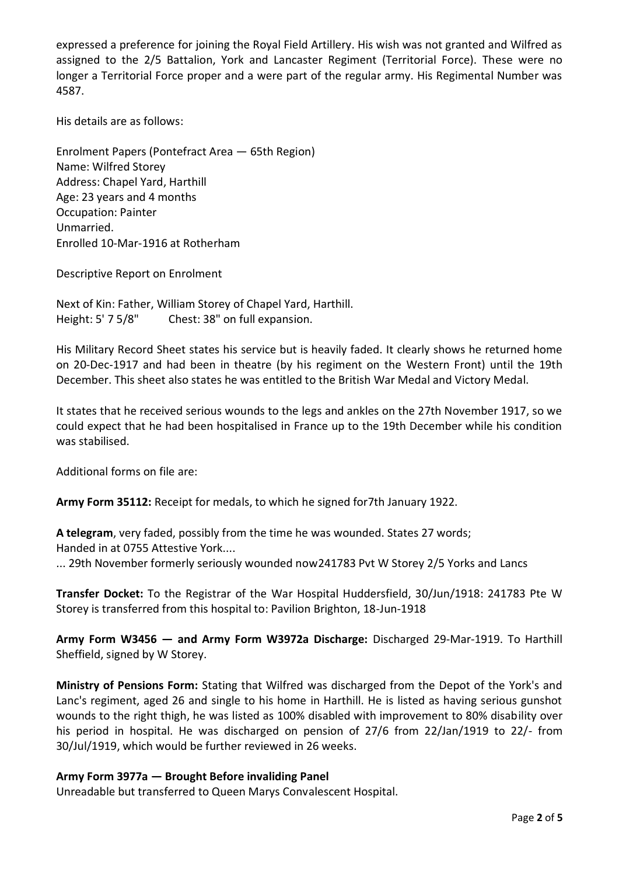expressed a preference for joining the Royal Field Artillery. His wish was not granted and Wilfred as assigned to the 2/5 Battalion, York and Lancaster Regiment (Territorial Force). These were no longer a Territorial Force proper and a were part of the regular army. His Regimental Number was 4587.

His details are as follows:

Enrolment Papers (Pontefract Area — 65th Region) Name: Wilfred Storey Address: Chapel Yard, Harthill Age: 23 years and 4 months Occupation: Painter Unmarried. Enrolled 10-Mar-1916 at Rotherham

Descriptive Report on Enrolment

Next of Kin: Father, William Storey of Chapel Yard, Harthill. Height: 5' 7 5/8" Chest: 38" on full expansion.

His Military Record Sheet states his service but is heavily faded. It clearly shows he returned home on 20-Dec-1917 and had been in theatre (by his regiment on the Western Front) until the 19th December. This sheet also states he was entitled to the British War Medal and Victory Medal.

It states that he received serious wounds to the legs and ankles on the 27th November 1917, so we could expect that he had been hospitalised in France up to the 19th December while his condition was stabilised.

Additional forms on file are:

**Army Form 35112:** Receipt for medals, to which he signed for7th January 1922.

**A telegram**, very faded, possibly from the time he was wounded. States 27 words; Handed in at 0755 Attestive York....

... 29th November formerly seriously wounded now241783 Pvt W Storey 2/5 Yorks and Lancs

**Transfer Docket:** To the Registrar of the War Hospital Huddersfield, 30/Jun/1918: 241783 Pte W Storey is transferred from this hospital to: Pavilion Brighton, 18-Jun-1918

**Army Form W3456 — and Army Form W3972a Discharge:** Discharged 29-Mar-1919. To Harthill Sheffield, signed by W Storey.

**Ministry of Pensions Form:** Stating that Wilfred was discharged from the Depot of the York's and Lanc's regiment, aged 26 and single to his home in Harthill. He is listed as having serious gunshot wounds to the right thigh, he was listed as 100% disabled with improvement to 80% disability over his period in hospital. He was discharged on pension of 27/6 from 22/Jan/1919 to 22/- from 30/Jul/1919, which would be further reviewed in 26 weeks.

### **Army Form 3977a — Brought Before invaliding Panel**

Unreadable but transferred to Queen Marys Convalescent Hospital.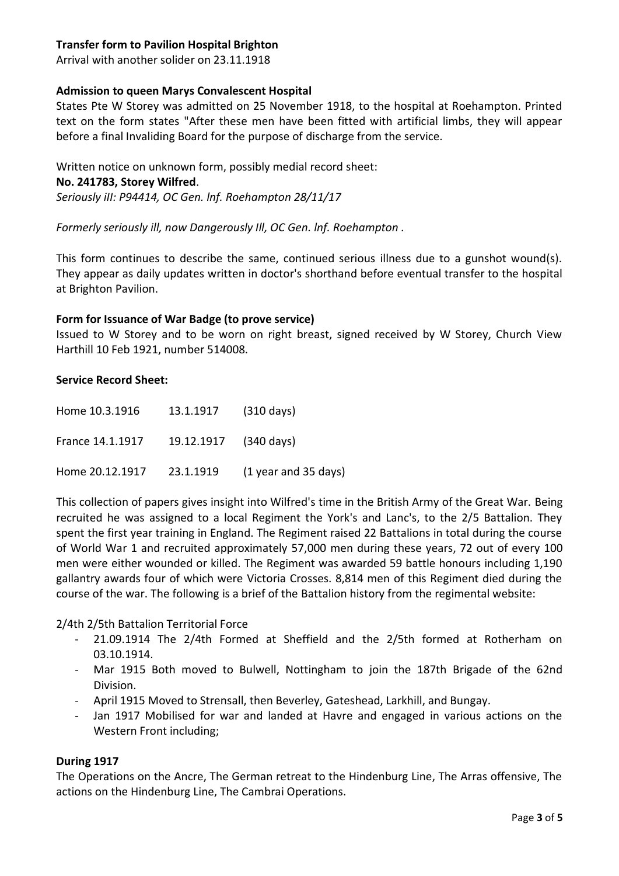## **Transfer form to Pavilion Hospital Brighton**

Arrival with another solider on 23.11.1918

## **Admission to queen Marys Convalescent Hospital**

States Pte W Storey was admitted on 25 November 1918, to the hospital at Roehampton. Printed text on the form states "After these men have been fitted with artificial limbs, they will appear before a final Invaliding Board for the purpose of discharge from the service.

Written notice on unknown form, possibly medial record sheet: **No. 241783, Storey Wilfred**. *Seriously iII: P94414, OC Gen. lnf. Roehampton 28/11/17*

*Formerly seriously ill, now Dangerously Ill, OC Gen. lnf. Roehampton .*

This form continues to describe the same, continued serious illness due to a gunshot wound(s). They appear as daily updates written in doctor's shorthand before eventual transfer to the hospital at Brighton Pavilion.

#### **Form for Issuance of War Badge (to prove service)**

Issued to W Storey and to be worn on right breast, signed received by W Storey, Church View Harthill 10 Feb 1921, number 514008.

#### **Service Record Sheet:**

| Home 10.3.1916   | 13.1.1917             | (310 days)           |
|------------------|-----------------------|----------------------|
| France 14.1.1917 | 19.12.1917 (340 days) |                      |
| Home 20.12.1917  | 23.1.1919             | (1 year and 35 days) |

This collection of papers gives insight into Wilfred's time in the British Army of the Great War. Being recruited he was assigned to a local Regiment the York's and Lanc's, to the 2/5 Battalion. They spent the first year training in England. The Regiment raised 22 Battalions in total during the course of World War 1 and recruited approximately 57,000 men during these years, 72 out of every 100 men were either wounded or killed. The Regiment was awarded 59 battle honours including 1,190 gallantry awards four of which were Victoria Crosses. 8,814 men of this Regiment died during the course of the war. The following is a brief of the Battalion history from the regimental website:

2/4th 2/5th Battalion Territorial Force

- 21.09.1914 The 2/4th Formed at Sheffield and the 2/5th formed at Rotherham on 03.10.1914.
- Mar 1915 Both moved to Bulwell, Nottingham to join the 187th Brigade of the 62nd Division.
- April 1915 Moved to Strensall, then Beverley, Gateshead, Larkhill, and Bungay.
- Jan 1917 Mobilised for war and landed at Havre and engaged in various actions on the Western Front including;

### **During 1917**

The Operations on the Ancre, The German retreat to the Hindenburg Line, The Arras offensive, The actions on the Hindenburg Line, The Cambrai Operations.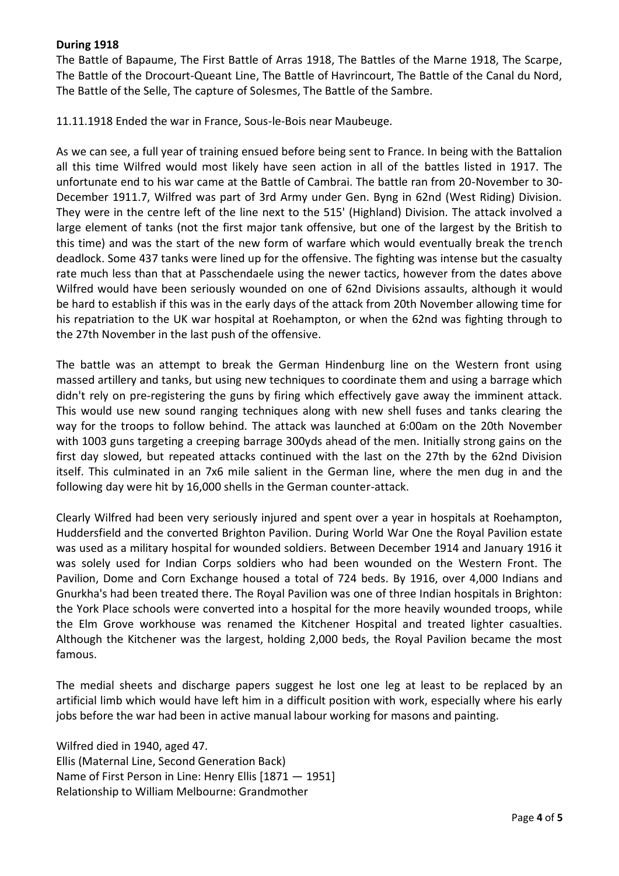## **During 1918**

The Battle of Bapaume, The First Battle of Arras 1918, The Battles of the Marne 1918, The Scarpe, The Battle of the Drocourt-Queant Line, The Battle of Havrincourt, The Battle of the Canal du Nord, The Battle of the Selle, The capture of Solesmes, The Battle of the Sambre.

11.11.1918 Ended the war in France, Sous-le-Bois near Maubeuge.

As we can see, a full year of training ensued before being sent to France. In being with the Battalion all this time Wilfred would most likely have seen action in all of the battles listed in 1917. The unfortunate end to his war came at the Battle of Cambrai. The battle ran from 20-November to 30- December 1911.7, Wilfred was part of 3rd Army under Gen. Byng in 62nd (West Riding) Division. They were in the centre left of the line next to the 515' (Highland) Division. The attack involved a large element of tanks (not the first major tank offensive, but one of the largest by the British to this time) and was the start of the new form of warfare which would eventually break the trench deadlock. Some 437 tanks were lined up for the offensive. The fighting was intense but the casualty rate much less than that at Passchendaele using the newer tactics, however from the dates above Wilfred would have been seriously wounded on one of 62nd Divisions assaults, although it would be hard to establish if this was in the early days of the attack from 20th November allowing time for his repatriation to the UK war hospital at Roehampton, or when the 62nd was fighting through to the 27th November in the last push of the offensive.

The battle was an attempt to break the German Hindenburg line on the Western front using massed artillery and tanks, but using new techniques to coordinate them and using a barrage which didn't rely on pre-registering the guns by firing which effectively gave away the imminent attack. This would use new sound ranging techniques along with new shell fuses and tanks clearing the way for the troops to follow behind. The attack was launched at 6:00am on the 20th November with 1003 guns targeting a creeping barrage 300yds ahead of the men. Initially strong gains on the first day slowed, but repeated attacks continued with the last on the 27th by the 62nd Division itself. This culminated in an 7x6 mile salient in the German line, where the men dug in and the following day were hit by 16,000 shells in the German counter-attack.

Clearly Wilfred had been very seriously injured and spent over a year in hospitals at Roehampton, Huddersfield and the converted Brighton Pavilion. During World War One the Royal Pavilion estate was used as a military hospital for wounded soldiers. Between December 1914 and January 1916 it was solely used for Indian Corps soldiers who had been wounded on the Western Front. The Pavilion, Dome and Corn Exchange housed a total of 724 beds. By 1916, over 4,000 Indians and Gnurkha's had been treated there. The Royal Pavilion was one of three Indian hospitals in Brighton: the York Place schools were converted into a hospital for the more heavily wounded troops, while the Elm Grove workhouse was renamed the Kitchener Hospital and treated lighter casualties. Although the Kitchener was the largest, holding 2,000 beds, the Royal Pavilion became the most famous.

The medial sheets and discharge papers suggest he lost one leg at least to be replaced by an artificial limb which would have left him in a difficult position with work, especially where his early jobs before the war had been in active manual labour working for masons and painting.

Wilfred died in 1940, aged 47. Ellis (Maternal Line, Second Generation Back) Name of First Person in Line: Henry Ellis [1871 — 1951] Relationship to William Melbourne: Grandmother